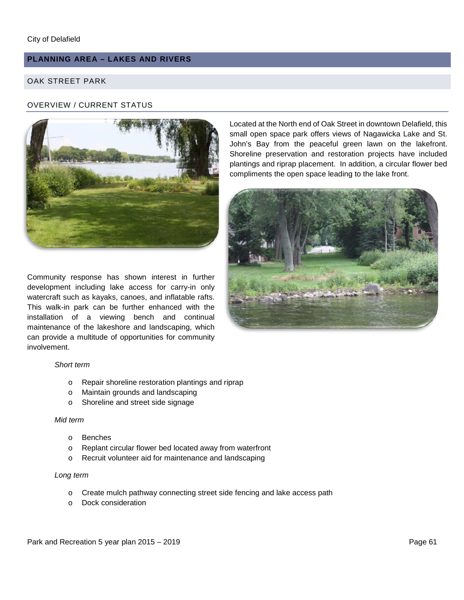# **PLANNING AREA – LAKES AND RIVERS**

## OAK STREET PARK

### OVERVIEW / CURRENT STATUS



Community response has shown interest in further development including lake access for carry-in only watercraft such as kayaks, canoes, and inflatable rafts. This walk-in park can be further enhanced with the installation of a viewing bench and continual maintenance of the lakeshore and landscaping, which can provide a multitude of opportunities for community involvement.

Located at the North end of Oak Street in downtown Delafield, this small open space park offers views of Nagawicka Lake and St. John's Bay from the peaceful green lawn on the lakefront. Shoreline preservation and restoration projects have included plantings and riprap placement. In addition, a circular flower bed compliments the open space leading to the lake front.



#### *Short term*

- o Repair shoreline restoration plantings and riprap
- o Maintain grounds and landscaping
- o Shoreline and street side signage

#### *Mid term*

- o Benches
- o Replant circular flower bed located away from waterfront
- o Recruit volunteer aid for maintenance and landscaping

#### *Long term*

- o Create mulch pathway connecting street side fencing and lake access path
- o Dock consideration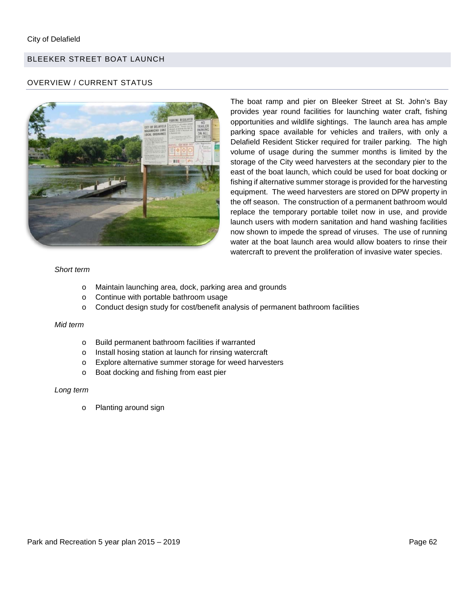# BLEEKER STREET BOAT LAUNCH

### OVERVIEW / CURRENT STATUS



The boat ramp and pier on Bleeker Street at St. John's Bay provides year round facilities for launching water craft, fishing opportunities and wildlife sightings. The launch area has ample parking space available for vehicles and trailers, with only a Delafield Resident Sticker required for trailer parking. The high volume of usage during the summer months is limited by the storage of the City weed harvesters at the secondary pier to the east of the boat launch, which could be used for boat docking or fishing if alternative summer storage is provided for the harvesting equipment. The weed harvesters are stored on DPW property in the off season. The construction of a permanent bathroom would replace the temporary portable toilet now in use, and provide launch users with modern sanitation and hand washing facilities now shown to impede the spread of viruses. The use of running water at the boat launch area would allow boaters to rinse their watercraft to prevent the proliferation of invasive water species.

#### *Short term*

- o Maintain launching area, dock, parking area and grounds
- o Continue with portable bathroom usage
- o Conduct design study for cost/benefit analysis of permanent bathroom facilities

#### *Mid term*

- o Build permanent bathroom facilities if warranted
- o Install hosing station at launch for rinsing watercraft
- o Explore alternative summer storage for weed harvesters
- o Boat docking and fishing from east pier

#### *Long term*

o Planting around sign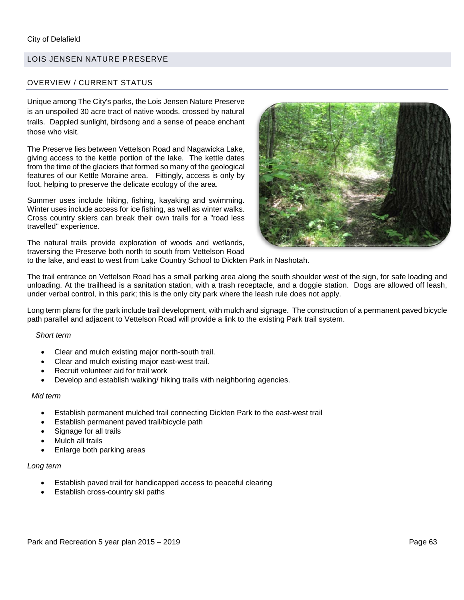### LOIS JENSEN NATURE PRESERVE

#### OVERVIEW / CURRENT STATUS

Unique among The City's parks, the Lois Jensen Nature Preserve is an unspoiled 30 acre tract of native woods, crossed by natural trails. Dappled sunlight, birdsong and a sense of peace enchant those who visit.

The Preserve lies between Vettelson Road and Nagawicka Lake, giving access to the kettle portion of the lake. The kettle dates from the time of the glaciers that formed so many of the geological features of our Kettle Moraine area. Fittingly, access is only by foot, helping to preserve the delicate ecology of the area.

Summer uses include hiking, fishing, kayaking and swimming. Winter uses include access for ice fishing, as well as winter walks. Cross country skiers can break their own trails for a "road less travelled" experience.

The natural trails provide exploration of woods and wetlands, traversing the Preserve both north to south from Vettelson Road



to the lake, and east to west from Lake Country School to Dickten Park in Nashotah.

The trail entrance on Vettelson Road has a small parking area along the south shoulder west of the sign, for safe loading and unloading. At the trailhead is a sanitation station, with a trash receptacle, and a doggie station. Dogs are allowed off leash, under verbal control, in this park; this is the only city park where the leash rule does not apply.

Long term plans for the park include trail development, with mulch and signage. The construction of a permanent paved bicycle path parallel and adjacent to Vettelson Road will provide a link to the existing Park trail system.

#### *Short term*

- Clear and mulch existing major north-south trail.
- Clear and mulch existing major east-west trail.
- Recruit volunteer aid for trail work
- Develop and establish walking/ hiking trails with neighboring agencies.

#### *Mid term*

- Establish permanent mulched trail connecting Dickten Park to the east-west trail
- Establish permanent paved trail/bicycle path
- Signage for all trails
- Mulch all trails
- Enlarge both parking areas

#### *Long term*

- Establish paved trail for handicapped access to peaceful clearing
- Establish cross-country ski paths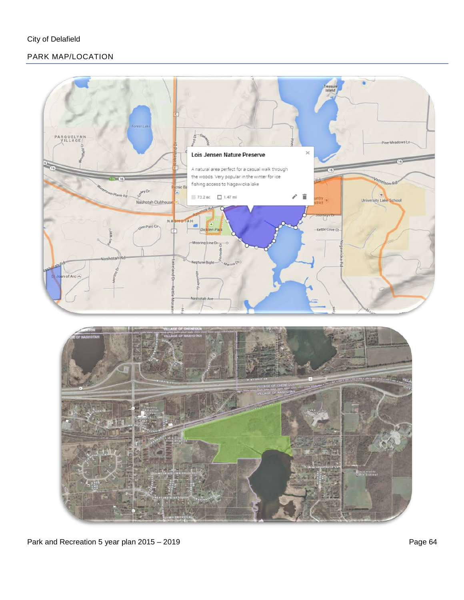# PARK MAP/LOCATION



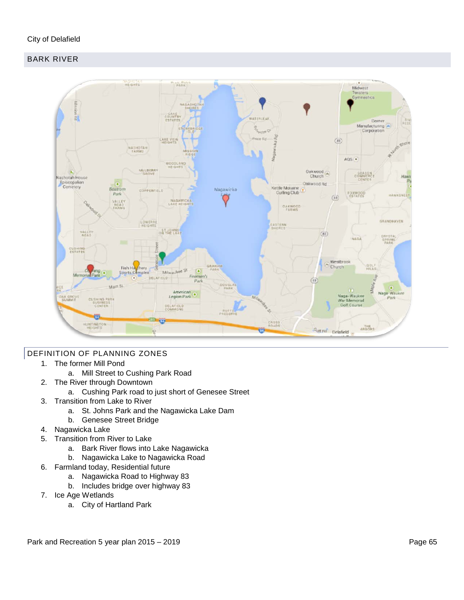# City of Delafield

# BARK RIVER



### DEFINITION OF PLANNING ZONES

- 1. The former Mill Pond
	- a. Mill Street to Cushing Park Road
- 2. The River through Downtown
	- a. Cushing Park road to just short of Genesee Street
- 3. Transition from Lake to River
	- a. St. Johns Park and the Nagawicka Lake Dam
	- b. Genesee Street Bridge
- 4. Nagawicka Lake
- 5. Transition from River to Lake
	- a. Bark River flows into Lake Nagawicka
	- b. Nagawicka Lake to Nagawicka Road
- 6. Farmland today, Residential future
	- a. Nagawicka Road to Highway 83
	- b. Includes bridge over highway 83
- 7. Ice Age Wetlands
	- a. City of Hartland Park